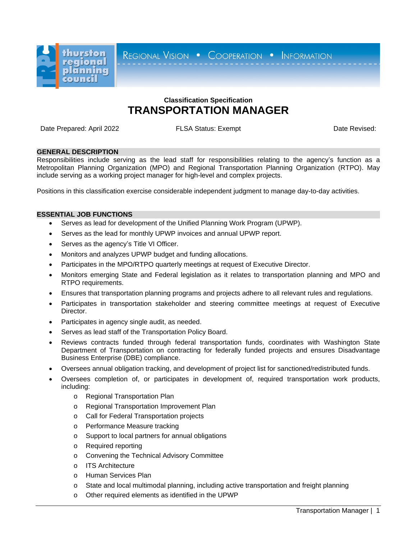

REGIONAL VISION . COOPERATION . INFORMATION

# **Classification Specification TRANSPORTATION MANAGER**

Date Prepared: April 2022 **FLSA Status: Exempt** Date Revised: Date Revised:

## **GENERAL DESCRIPTION**

Responsibilities include serving as the lead staff for responsibilities relating to the agency's function as a Metropolitan Planning Organization (MPO) and Regional Transportation Planning Organization (RTPO). May include serving as a working project manager for high-level and complex projects.

Positions in this classification exercise considerable independent judgment to manage day-to-day activities.

# **ESSENTIAL JOB FUNCTIONS**

- Serves as lead for development of the Unified Planning Work Program (UPWP).
- Serves as the lead for monthly UPWP invoices and annual UPWP report.
- Serves as the agency's Title VI Officer.
- Monitors and analyzes UPWP budget and funding allocations.
- Participates in the MPO/RTPO quarterly meetings at request of Executive Director.
- Monitors emerging State and Federal legislation as it relates to transportation planning and MPO and RTPO requirements.
- Ensures that transportation planning programs and projects adhere to all relevant rules and regulations.
- Participates in transportation stakeholder and steering committee meetings at request of Executive Director.
- Participates in agency single audit, as needed.
- Serves as lead staff of the Transportation Policy Board.
- Reviews contracts funded through federal transportation funds, coordinates with Washington State Department of Transportation on contracting for federally funded projects and ensures Disadvantage Business Enterprise (DBE) compliance.
- Oversees annual obligation tracking, and development of project list for sanctioned/redistributed funds.
- Oversees completion of, or participates in development of, required transportation work products, including:
	- o Regional Transportation Plan
	- o Regional Transportation Improvement Plan
	- o Call for Federal Transportation projects
	- o Performance Measure tracking
	- o Support to local partners for annual obligations
	- o Required reporting
	- o Convening the Technical Advisory Committee
	- o ITS Architecture
	- o Human Services Plan
	- o State and local multimodal planning, including active transportation and freight planning
	- o Other required elements as identified in the UPWP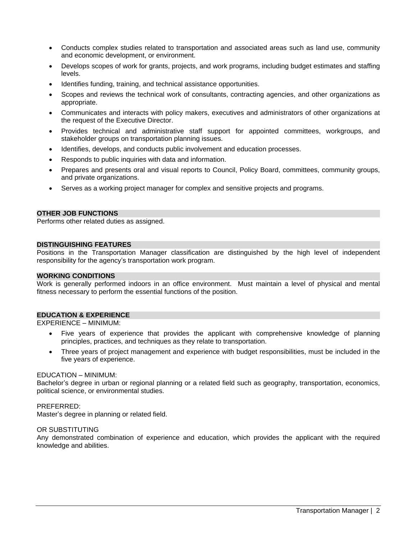- Conducts complex studies related to transportation and associated areas such as land use, community and economic development, or environment.
- Develops scopes of work for grants, projects, and work programs, including budget estimates and staffing levels.
- Identifies funding, training, and technical assistance opportunities.
- Scopes and reviews the technical work of consultants, contracting agencies, and other organizations as appropriate.
- Communicates and interacts with policy makers, executives and administrators of other organizations at the request of the Executive Director.
- Provides technical and administrative staff support for appointed committees, workgroups, and stakeholder groups on transportation planning issues.
- Identifies, develops, and conducts public involvement and education processes.
- Responds to public inquiries with data and information.
- Prepares and presents oral and visual reports to Council, Policy Board, committees, community groups, and private organizations.
- Serves as a working project manager for complex and sensitive projects and programs.

## **OTHER JOB FUNCTIONS**

Performs other related duties as assigned.

#### **DISTINGUISHING FEATURES**

Positions in the Transportation Manager classification are distinguished by the high level of independent responsibility for the agency's transportation work program.

#### **WORKING CONDITIONS**

Work is generally performed indoors in an office environment. Must maintain a level of physical and mental fitness necessary to perform the essential functions of the position.

#### **EDUCATION & EXPERIENCE**

EXPERIENCE – MINIMUM:

- Five years of experience that provides the applicant with comprehensive knowledge of planning principles, practices, and techniques as they relate to transportation.
- Three years of project management and experience with budget responsibilities, must be included in the five years of experience.

#### EDUCATION – MINIMUM:

Bachelor's degree in urban or regional planning or a related field such as geography, transportation, economics, political science, or environmental studies.

## PREFERRED:

Master's degree in planning or related field.

#### OR SUBSTITUTING

Any demonstrated combination of experience and education, which provides the applicant with the required knowledge and abilities.